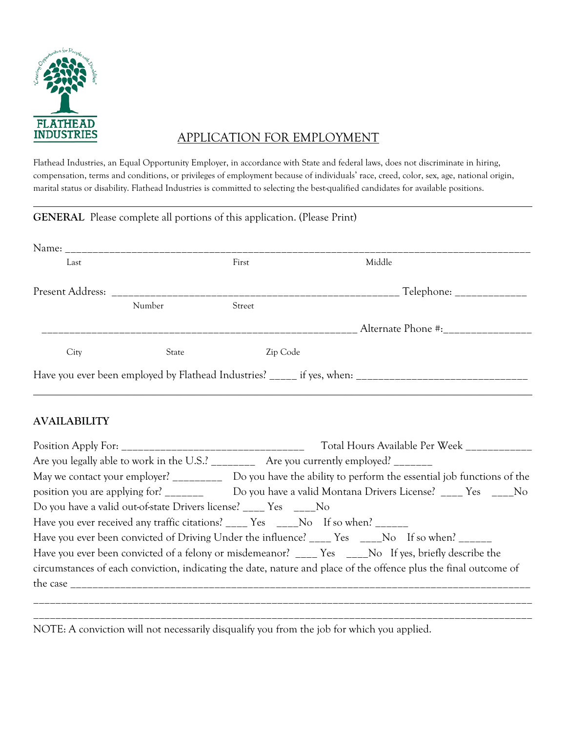

# INDUSTRIES APPLICATION FOR EMPLOYMENT

Flathead Industries, an Equal Opportunity Employer, in accordance with State and federal laws, does not discriminate in hiring, compensation, terms and conditions, or privileges of employment because of individuals' race, creed, color, sex, age, national origin, marital status or disability. Flathead Industries is committed to selecting the best-qualified candidates for available positions.

 $\overline{\phantom{a}}$  , and the contract of the contract of the contract of the contract of the contract of the contract of the contract of the contract of the contract of the contract of the contract of the contract of the contrac

|      |              | <b>GENERAL</b> Please complete all portions of this application. (Please Print) |                                       |
|------|--------------|---------------------------------------------------------------------------------|---------------------------------------|
|      |              |                                                                                 |                                       |
| Last |              | First                                                                           | Middle                                |
|      |              |                                                                                 |                                       |
|      | Number       | Street                                                                          |                                       |
|      |              |                                                                                 | Alternate Phone #:___________________ |
| City | <b>State</b> | Zip Code                                                                        |                                       |
|      |              |                                                                                 |                                       |

 $\overline{\phantom{a}}$  , and the contract of the contract of the contract of the contract of the contract of the contract of the contract of the contract of the contract of the contract of the contract of the contract of the contrac

#### **AVAILABILITY**

|                                                                                  | Total Hours Available Per Week ___________                                                                       |
|----------------------------------------------------------------------------------|------------------------------------------------------------------------------------------------------------------|
|                                                                                  | Are you legally able to work in the U.S.' __________ Are you currently employed! _______                         |
|                                                                                  | May we contact your employer? __________ Do you have the ability to perform the essential job functions of the   |
| position you are applying for? _______                                           | Do you have a valid Montana Drivers License? ____ Yes ____ No                                                    |
| Do you have a valid out-of-state Drivers license? ____ Yes ____ No               |                                                                                                                  |
| Have you ever received any traffic citations? ____ Yes ____No If so when? ______ |                                                                                                                  |
|                                                                                  | Have you ever been convicted of Driving Under the influence? ____ Yes ____No If so when? _____                   |
|                                                                                  | Have you ever been convicted of a felony or misdemeanor? ____ Yes ____No If yes, briefly describe the            |
|                                                                                  | circumstances of each conviction, indicating the date, nature and place of the offence plus the final outcome of |
|                                                                                  |                                                                                                                  |
|                                                                                  |                                                                                                                  |
|                                                                                  |                                                                                                                  |

NOTE: A conviction will not necessarily disqualify you from the job for which you applied.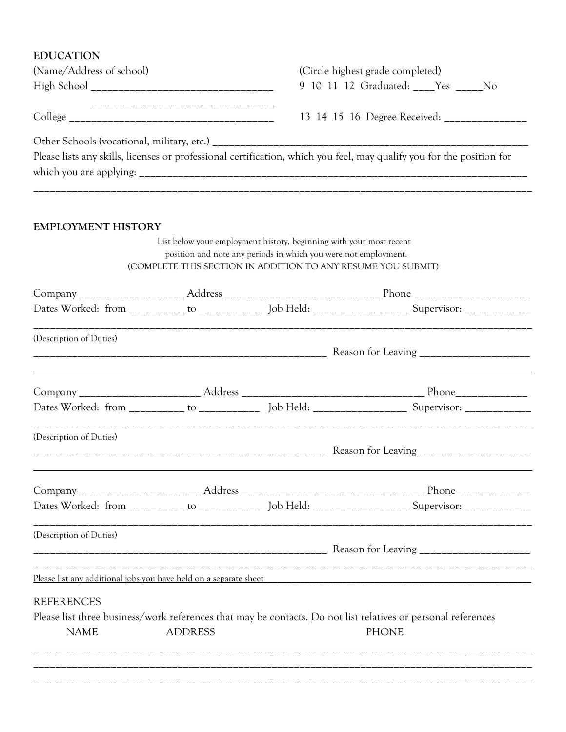#### **EDUCATION**

| (Name/Address of school) | (Circle highest grade completed)                                                                                      |
|--------------------------|-----------------------------------------------------------------------------------------------------------------------|
|                          | 9 10 11 12 Graduated: Yes No                                                                                          |
|                          | 13 14 15 16 Degree Received: ______________                                                                           |
|                          |                                                                                                                       |
|                          | Please lists any skills, licenses or professional certification, which you feel, may qualify you for the position for |
|                          |                                                                                                                       |
|                          |                                                                                                                       |

### **EMPLOYMENT HISTORY**

 List below your employment history, beginning with your most recent position and note any periods in which you were not employment. (COMPLETE THIS SECTION IN ADDITION TO ANY RESUME YOU SUBMIT)

|                         |                | Dates Worked: from __________ to _____________ Job Held: ___________________ Supervisor: _______________      |
|-------------------------|----------------|---------------------------------------------------------------------------------------------------------------|
| (Description of Duties) |                |                                                                                                               |
|                         |                |                                                                                                               |
|                         |                |                                                                                                               |
|                         |                | Dates Worked: from __________ to _____________ Job Held: ___________________ Supervisor: _______________      |
| (Description of Duties) |                |                                                                                                               |
|                         |                |                                                                                                               |
|                         |                |                                                                                                               |
|                         |                | Dates Worked: from ___________ to ______________ Job Held: _____________________ Supervisor: _____________    |
| (Description of Duties) |                |                                                                                                               |
|                         |                |                                                                                                               |
|                         |                | Please list any additional jobs you have held on a separate sheet                                             |
| <b>REFERENCES</b>       |                |                                                                                                               |
|                         |                | Please list three business/work references that may be contacts. Do not list relatives or personal references |
|                         | <b>ADDRESS</b> | <b>PHONE</b>                                                                                                  |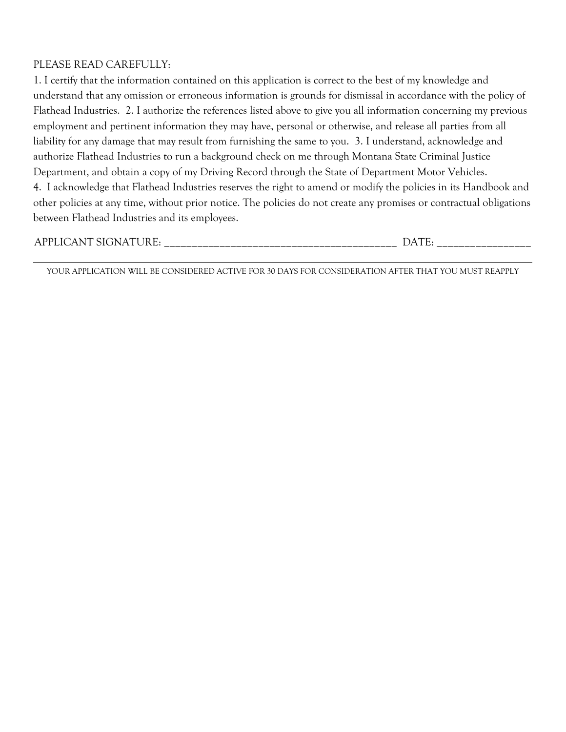#### PLEASE READ CAREFULLY:

1. I certify that the information contained on this application is correct to the best of my knowledge and understand that any omission or erroneous information is grounds for dismissal in accordance with the policy of Flathead Industries. 2. I authorize the references listed above to give you all information concerning my previous employment and pertinent information they may have, personal or otherwise, and release all parties from all liability for any damage that may result from furnishing the same to you. 3. I understand, acknowledge and authorize Flathead Industries to run a background check on me through Montana State Criminal Justice Department, and obtain a copy of my Driving Record through the State of Department Motor Vehicles. 4. I acknowledge that Flathead Industries reserves the right to amend or modify the policies in its Handbook and other policies at any time, without prior notice. The policies do not create any promises or contractual obligations between Flathead Industries and its employees.

| $\sim$<br>∼ | __________________________________<br>______<br>_____ | _____________________ |
|-------------|-------------------------------------------------------|-----------------------|
|-------------|-------------------------------------------------------|-----------------------|

 $\overline{\phantom{a}}$  , and the contract of the contract of the contract of the contract of the contract of the contract of the contract of the contract of the contract of the contract of the contract of the contract of the contrac YOUR APPLICATION WILL BE CONSIDERED ACTIVE FOR 30 DAYS FOR CONSIDERATION AFTER THAT YOU MUST REAPPLY